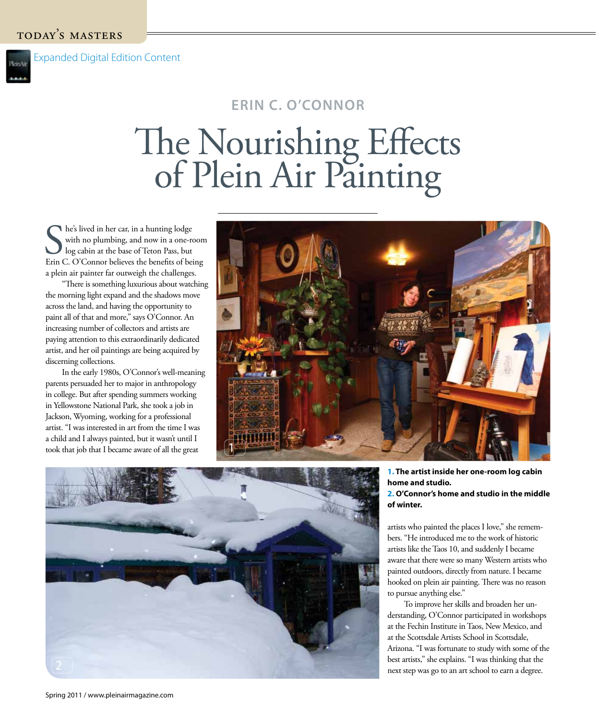## **ERIN C. O'CONNOR**

## The Nourishing Effects of Plein Air Painting

She's lived in her car, in a hunting lodge<br>
with no plumbing, and now in a one-room<br>
log cabin at the base of Teton Pass, but<br>
Erin C. O'Connor believes the benefits of being he's lived in her car, in a hunting lodge with no plumbing, and now in a one-room I log cabin at the base of Teton Pass, but a plein air painter far outweigh the challenges.

"There is something luxurious about watching the morning light expand and the shadows move across the land, and having the opportunity to paint all of that and more," says O'Connor. An increasing number of collectors and artists are paying attention to this extraordinarily dedicated artist, and her oil paintings are being acquired by discerning collections.

In the early 1980s, O'Connor's well-meaning parents persuaded her to major in anthropology in college. But after spending summers working in Yellowstone National Park, she took a job in Jackson, Wyoming, working for a professional artist. "I was interested in art from the time I was a child and I always painted, but it wasn't until I took that job that I became aware of all the great





## **1. The artist inside her one-room log cabin home and studio. 2. O'Connor's home and studio in the middle of winter.**

artists who painted the places I love," she remembers. "He introduced me to the work of historic artists like the Taos 10, and suddenly I became aware that there were so many Western artists who painted outdoors, directly from nature. I became hooked on plein air painting. There was no reason to pursue anything else."

To improve her skills and broaden her understanding, O'Connor participated in workshops at the Fechin Institute in Taos, New Mexico, and at the Scottsdale Artists School in Scottsdale, Arizona. "I was fortunate to study with some of the best artists," she explains. "I was thinking that the next step was go to an art school to earn a degree.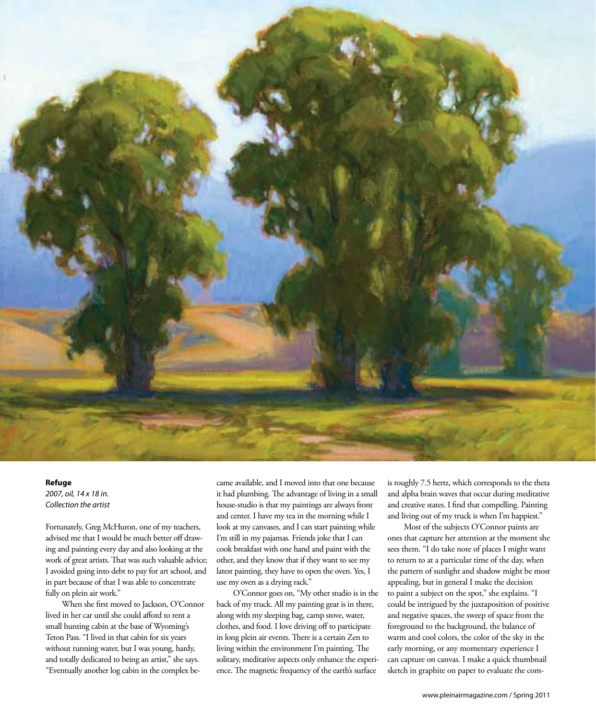

## **Refuge**

2007, oil, 14 x 18 in. Collection the artist

Fortunately, Greg McHuron, one of my teachers, advised me that I would be much better off drawing and painting every day and also looking at the work of great artists. That was such valuable advice; I avoided going into debt to pay for art school, and in part because of that I was able to concentrate fully on plein air work."

When she first moved to Jackson, O'Connor lived in her car until she could afford to rent a small hunting cabin at the base of Wyoming's Teton Pass. "I lived in that cabin for six years without running water, but I was young, hardy, and totally dedicated to being an artist," she says. "Eventually another log cabin in the complex be-

came available, and I moved into that one because it had plumbing. The advantage of living in a small house-studio is that my paintings are always front and center. I have my tea in the morning while I look at my canvases, and I can start painting while I'm still in my pajamas. Friends joke that I can cook breakfast with one hand and paint with the other, and they know that if they want to see my latest painting, they have to open the oven. Yes, I use my oven as a drying rack."

O'Connor goes on, "My other studio is in the back of my truck. All my painting gear is in there, along with my sleeping bag, camp stove, water, clothes, and food. I love driving off to participate in long plein air events. There is a certain Zen to living within the environment I'm painting. The solitary, meditative aspects only enhance the experience. The magnetic frequency of the earth's surface

is roughly 7.5 hertz, which corresponds to the theta and alpha brain waves that occur during meditative and creative states. I find that compelling. Painting and living out of my truck is when I'm happiest."

Most of the subjects O'Connor paints are ones that capture her attention at the moment she sees them. "I do take note of places I might want to return to at a particular time of the day, when the pattern of sunlight and shadow might be most appealing, but in general I make the decision to paint a subject on the spot," she explains. "I could be intrigued by the juxtaposition of positive and negative spaces, the sweep of space from the foreground to the background, the balance of warm and cool colors, the color of the sky in the early morning, or any momentary experience I can capture on canvas. I make a quick thumbnail sketch in graphite on paper to evaluate the com-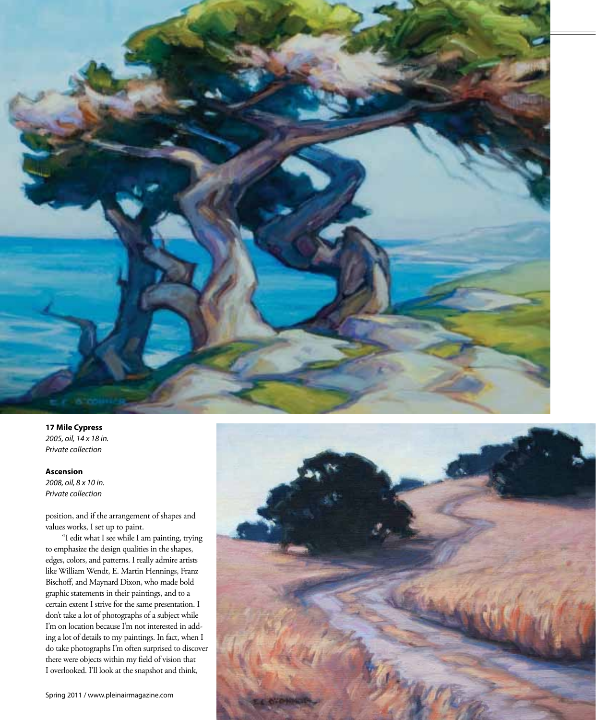

**17 Mile Cypress** 2005, oil, 14 x 18 in. Private collection

**Ascension** 2008, oil, 8 x 10 in. Private collection

position, and if the arrangement of shapes and values works, I set up to paint.

"I edit what I see while I am painting, trying to emphasize the design qualities in the shapes, edges, colors, and patterns. I really admire artists like William Wendt, E. Martin Hennings, Franz Bischoff, and Maynard Dixon, who made bold graphic statements in their paintings, and to a certain extent I strive for the same presentation. I don't take a lot of photographs of a subject while I'm on location because I'm not interested in adding a lot of details to my paintings. In fact, when I do take photographs I'm often surprised to discover there were objects within my field of vision that I overlooked. I'll look at the snapshot and think,